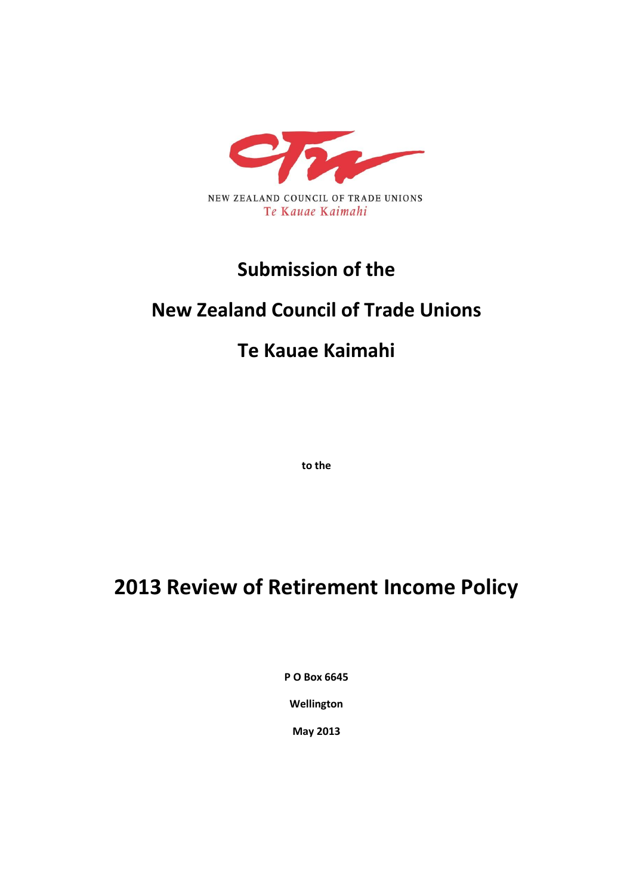

## **Submission of the**

## **New Zealand Council of Trade Unions**

## **Te Kauae Kaimahi**

**to the**

# **2013 Review of Retirement Income Policy**

**P O Box 6645**

**Wellington**

**May 2013**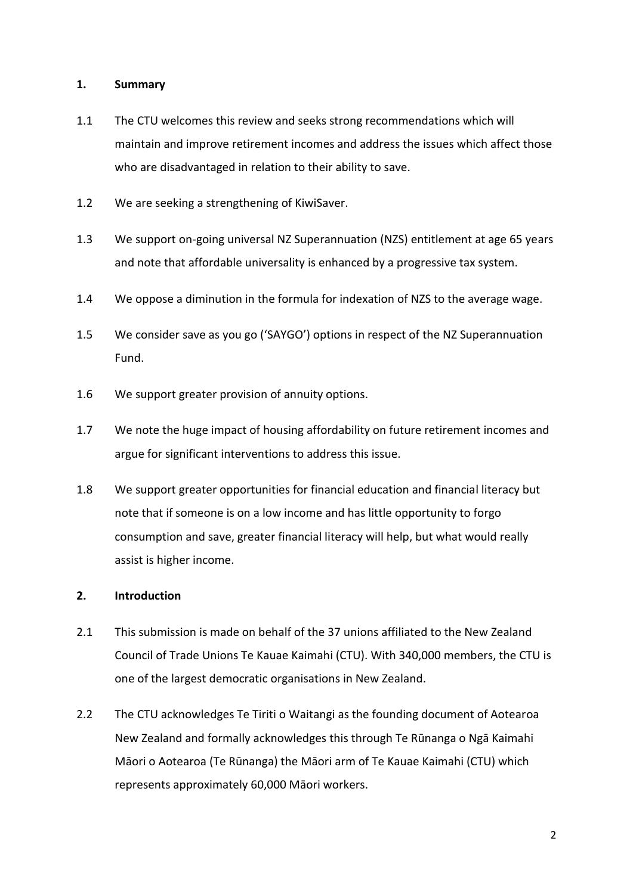### **1. Summary**

- 1.1 The CTU welcomes this review and seeks strong recommendations which will maintain and improve retirement incomes and address the issues which affect those who are disadvantaged in relation to their ability to save.
- 1.2 We are seeking a strengthening of KiwiSaver.
- 1.3 We support on-going universal NZ Superannuation (NZS) entitlement at age 65 years and note that affordable universality is enhanced by a progressive tax system.
- 1.4 We oppose a diminution in the formula for indexation of NZS to the average wage.
- 1.5 We consider save as you go ('SAYGO') options in respect of the NZ Superannuation Fund.
- 1.6 We support greater provision of annuity options.
- 1.7 We note the huge impact of housing affordability on future retirement incomes and argue for significant interventions to address this issue.
- 1.8 We support greater opportunities for financial education and financial literacy but note that if someone is on a low income and has little opportunity to forgo consumption and save, greater financial literacy will help, but what would really assist is higher income.

#### **2. Introduction**

- 2.1 This submission is made on behalf of the 37 unions affiliated to the New Zealand Council of Trade Unions Te Kauae Kaimahi (CTU). With 340,000 members, the CTU is one of the largest democratic organisations in New Zealand.
- 2.2 The CTU acknowledges Te Tiriti o Waitangi as the founding document of Aotearoa New Zealand and formally acknowledges this through Te Rūnanga o Ngā Kaimahi Māori o Aotearoa (Te Rūnanga) the Māori arm of Te Kauae Kaimahi (CTU) which represents approximately 60,000 Māori workers.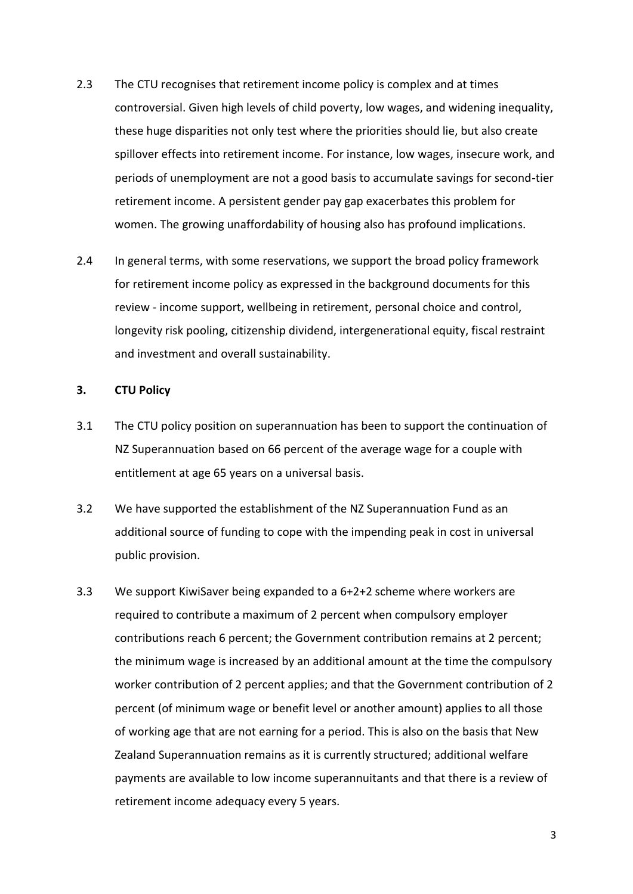- 2.3 The CTU recognises that retirement income policy is complex and at times controversial. Given high levels of child poverty, low wages, and widening inequality, these huge disparities not only test where the priorities should lie, but also create spillover effects into retirement income. For instance, low wages, insecure work, and periods of unemployment are not a good basis to accumulate savings for second-tier retirement income. A persistent gender pay gap exacerbates this problem for women. The growing unaffordability of housing also has profound implications.
- 2.4 In general terms, with some reservations, we support the broad policy framework for retirement income policy as expressed in the background documents for this review - income support, wellbeing in retirement, personal choice and control, longevity risk pooling, citizenship dividend, intergenerational equity, fiscal restraint and investment and overall sustainability.

## **3. CTU Policy**

- 3.1 The CTU policy position on superannuation has been to support the continuation of NZ Superannuation based on 66 percent of the average wage for a couple with entitlement at age 65 years on a universal basis.
- 3.2 We have supported the establishment of the NZ Superannuation Fund as an additional source of funding to cope with the impending peak in cost in universal public provision.
- 3.3 We support KiwiSaver being expanded to a 6+2+2 scheme where workers are required to contribute a maximum of 2 percent when compulsory employer contributions reach 6 percent; the Government contribution remains at 2 percent; the minimum wage is increased by an additional amount at the time the compulsory worker contribution of 2 percent applies; and that the Government contribution of 2 percent (of minimum wage or benefit level or another amount) applies to all those of working age that are not earning for a period. This is also on the basis that New Zealand Superannuation remains as it is currently structured; additional welfare payments are available to low income superannuitants and that there is a review of retirement income adequacy every 5 years.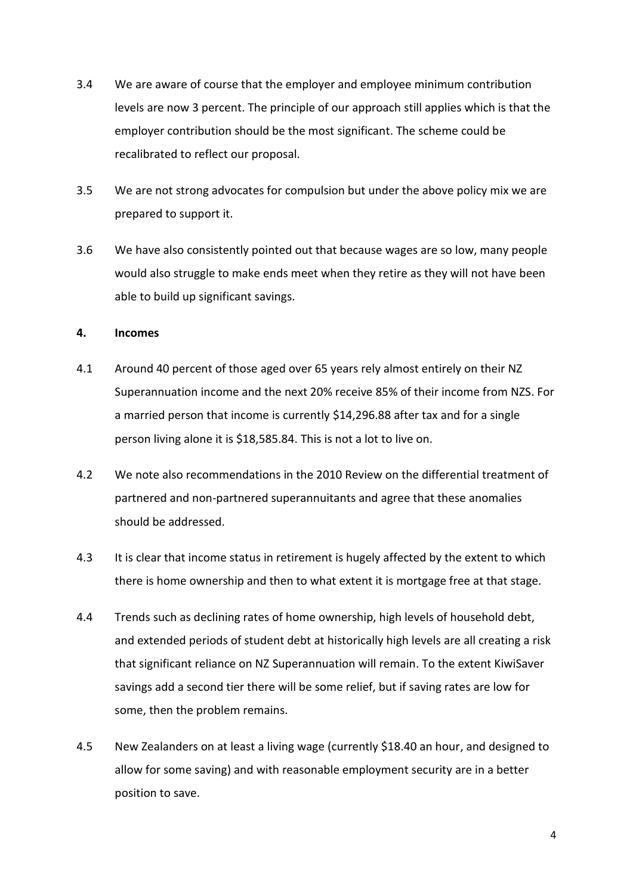- 3.4 We are aware of course that the employer and employee minimum contribution levels are now 3 percent. The principle of our approach still applies which is that the employer contribution should be the most significant. The scheme could be recalibrated to reflect our proposal.
- 3.5 We are not strong advocates for compulsion but under the above policy mix we are prepared to support it.
- 3.6 We have also consistently pointed out that because wages are so low, many people would also struggle to make ends meet when they retire as they will not have been able to build up significant savings.

## **4. Incomes**

- 4.1 Around 40 percent of those aged over 65 years rely almost entirely on their NZ Superannuation income and the next 20% receive 85% of their income from NZS. For a married person that income is currently \$14,296.88 after tax and for a single person living alone it is \$18,585.84. This is not a lot to live on.
- 4.2 We note also recommendations in the 2010 Review on the differential treatment of partnered and non-partnered superannuitants and agree that these anomalies should be addressed.
- 4.3 It is clear that income status in retirement is hugely affected by the extent to which there is home ownership and then to what extent it is mortgage free at that stage.
- 4.4 Trends such as declining rates of home ownership, high levels of household debt, and extended periods of student debt at historically high levels are all creating a risk that significant reliance on NZ Superannuation will remain. To the extent KiwiSaver savings add a second tier there will be some relief, but if saving rates are low for some, then the problem remains.
- 4.5 New Zealanders on at least a living wage (currently \$18.40 an hour, and designed to allow for some saving) and with reasonable employment security are in a better position to save.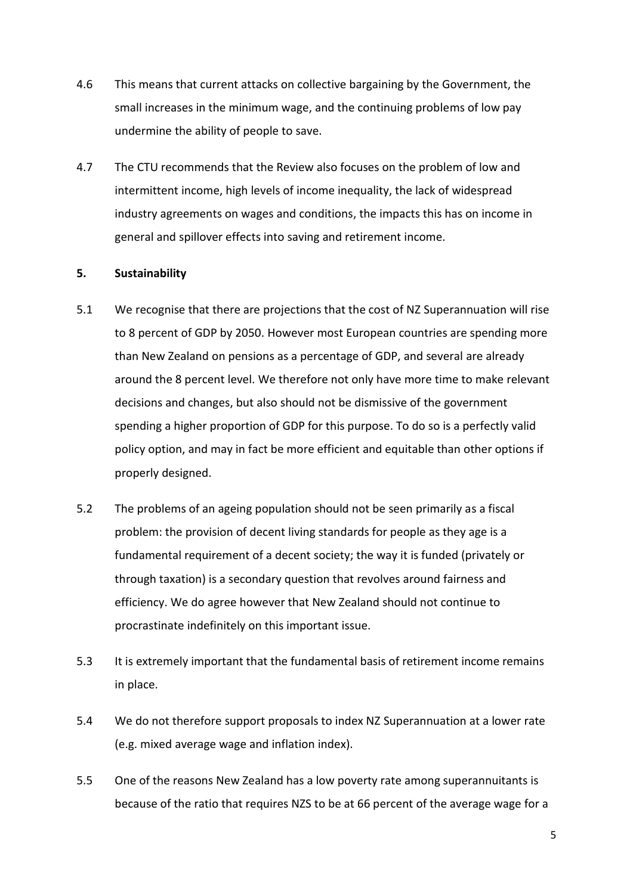- 4.6 This means that current attacks on collective bargaining by the Government, the small increases in the minimum wage, and the continuing problems of low pay undermine the ability of people to save.
- 4.7 The CTU recommends that the Review also focuses on the problem of low and intermittent income, high levels of income inequality, the lack of widespread industry agreements on wages and conditions, the impacts this has on income in general and spillover effects into saving and retirement income.

## **5. Sustainability**

- 5.1 We recognise that there are projections that the cost of NZ Superannuation will rise to 8 percent of GDP by 2050. However most European countries are spending more than New Zealand on pensions as a percentage of GDP, and several are already around the 8 percent level. We therefore not only have more time to make relevant decisions and changes, but also should not be dismissive of the government spending a higher proportion of GDP for this purpose. To do so is a perfectly valid policy option, and may in fact be more efficient and equitable than other options if properly designed.
- 5.2 The problems of an ageing population should not be seen primarily as a fiscal problem: the provision of decent living standards for people as they age is a fundamental requirement of a decent society; the way it is funded (privately or through taxation) is a secondary question that revolves around fairness and efficiency. We do agree however that New Zealand should not continue to procrastinate indefinitely on this important issue.
- 5.3 It is extremely important that the fundamental basis of retirement income remains in place.
- 5.4 We do not therefore support proposals to index NZ Superannuation at a lower rate (e.g. mixed average wage and inflation index).
- 5.5 One of the reasons New Zealand has a low poverty rate among superannuitants is because of the ratio that requires NZS to be at 66 percent of the average wage for a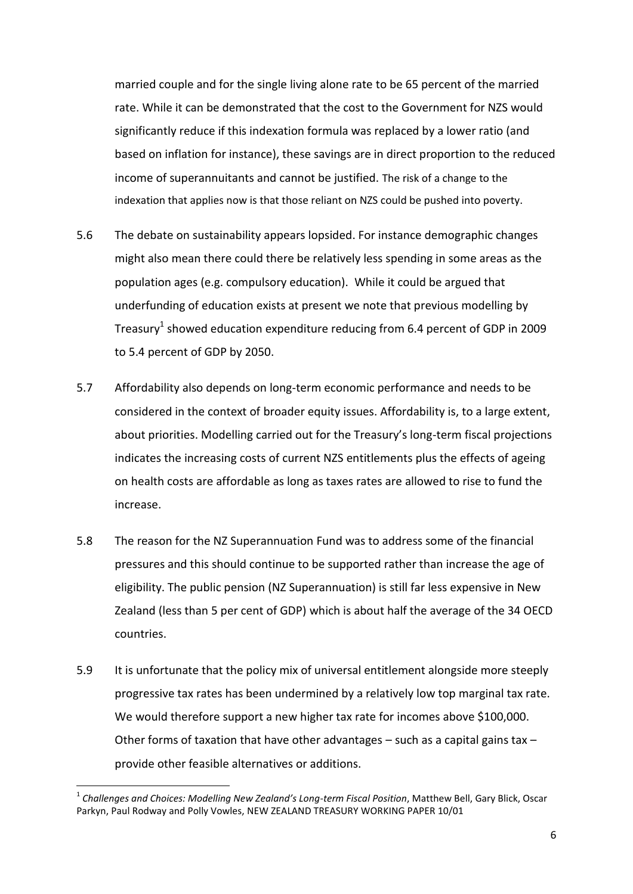married couple and for the single living alone rate to be 65 percent of the married rate. While it can be demonstrated that the cost to the Government for NZS would significantly reduce if this indexation formula was replaced by a lower ratio (and based on inflation for instance), these savings are in direct proportion to the reduced income of superannuitants and cannot be justified. The risk of a change to the indexation that applies now is that those reliant on NZS could be pushed into poverty.

- 5.6 The debate on sustainability appears lopsided. For instance demographic changes might also mean there could there be relatively less spending in some areas as the population ages (e.g. compulsory education). While it could be argued that underfunding of education exists at present we note that previous modelling by Treasury<sup>1</sup> showed education expenditure reducing from 6.4 percent of GDP in 2009 to 5.4 percent of GDP by 2050.
- 5.7 Affordability also depends on long-term economic performance and needs to be considered in the context of broader equity issues. Affordability is, to a large extent, about priorities. Modelling carried out for the Treasury's long-term fiscal projections indicates the increasing costs of current NZS entitlements plus the effects of ageing on health costs are affordable as long as taxes rates are allowed to rise to fund the increase.
- 5.8 The reason for the NZ Superannuation Fund was to address some of the financial pressures and this should continue to be supported rather than increase the age of eligibility. The public pension (NZ Superannuation) is still far less expensive in New Zealand (less than 5 per cent of GDP) which is about half the average of the 34 OECD countries.
- 5.9 It is unfortunate that the policy mix of universal entitlement alongside more steeply progressive tax rates has been undermined by a relatively low top marginal tax rate. We would therefore support a new higher tax rate for incomes above \$100,000. Other forms of taxation that have other advantages – such as a capital gains tax – provide other feasible alternatives or additions.

**.** 

<sup>1</sup> *Challenges and Choices: Modelling New Zealand's Long-term Fiscal Position*, Matthew Bell, Gary Blick, Oscar Parkyn, Paul Rodway and Polly Vowles, NEW ZEALAND TREASURY WORKING PAPER 10/01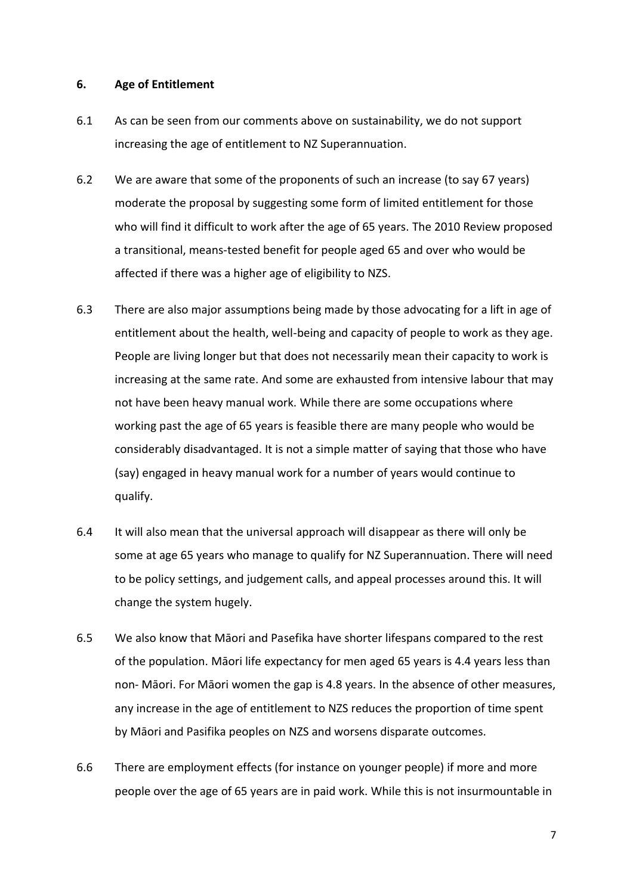#### **6. Age of Entitlement**

- 6.1 As can be seen from our comments above on sustainability, we do not support increasing the age of entitlement to NZ Superannuation.
- 6.2 We are aware that some of the proponents of such an increase (to say 67 years) moderate the proposal by suggesting some form of limited entitlement for those who will find it difficult to work after the age of 65 years. The 2010 Review proposed a transitional, means-tested benefit for people aged 65 and over who would be affected if there was a higher age of eligibility to NZS.
- 6.3 There are also major assumptions being made by those advocating for a lift in age of entitlement about the health, well-being and capacity of people to work as they age. People are living longer but that does not necessarily mean their capacity to work is increasing at the same rate. And some are exhausted from intensive labour that may not have been heavy manual work. While there are some occupations where working past the age of 65 years is feasible there are many people who would be considerably disadvantaged. It is not a simple matter of saying that those who have (say) engaged in heavy manual work for a number of years would continue to qualify.
- 6.4 It will also mean that the universal approach will disappear as there will only be some at age 65 years who manage to qualify for NZ Superannuation. There will need to be policy settings, and judgement calls, and appeal processes around this. It will change the system hugely.
- 6.5 We also know that Māori and Pasefika have shorter lifespans compared to the rest of the population. Māori life expectancy for men aged 65 years is 4.4 years less than non- Māori. For Māori women the gap is 4.8 years. In the absence of other measures, any increase in the age of entitlement to NZS reduces the proportion of time spent by Māori and Pasifika peoples on NZS and worsens disparate outcomes.
- 6.6 There are employment effects (for instance on younger people) if more and more people over the age of 65 years are in paid work. While this is not insurmountable in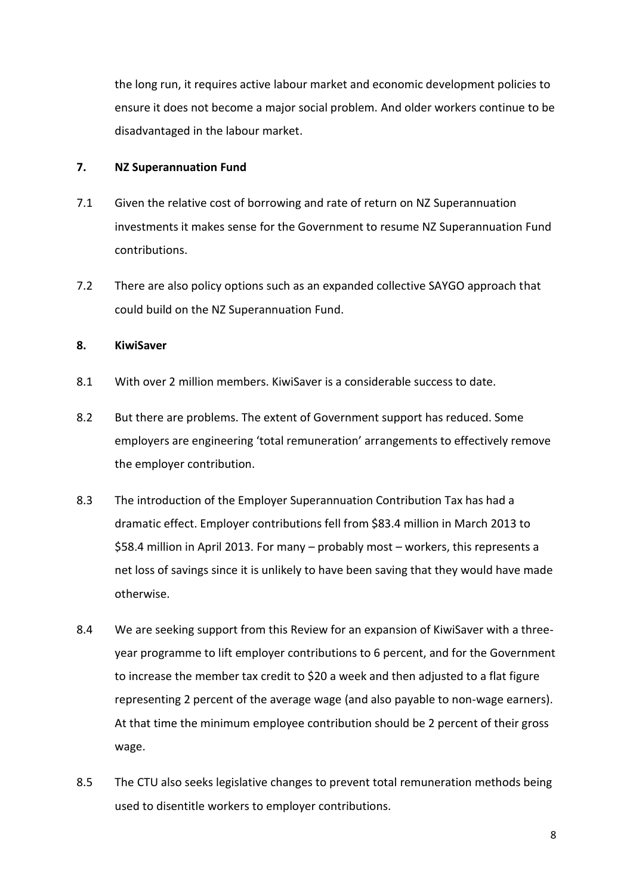the long run, it requires active labour market and economic development policies to ensure it does not become a major social problem. And older workers continue to be disadvantaged in the labour market.

## **7. NZ Superannuation Fund**

- 7.1 Given the relative cost of borrowing and rate of return on NZ Superannuation investments it makes sense for the Government to resume NZ Superannuation Fund contributions.
- 7.2 There are also policy options such as an expanded collective SAYGO approach that could build on the NZ Superannuation Fund.

### **8. KiwiSaver**

- 8.1 With over 2 million members. KiwiSaver is a considerable success to date.
- 8.2 But there are problems. The extent of Government support has reduced. Some employers are engineering 'total remuneration' arrangements to effectively remove the employer contribution.
- 8.3 The introduction of the Employer Superannuation Contribution Tax has had a dramatic effect. Employer contributions fell from \$83.4 million in March 2013 to \$58.4 million in April 2013. For many – probably most – workers, this represents a net loss of savings since it is unlikely to have been saving that they would have made otherwise.
- 8.4 We are seeking support from this Review for an expansion of KiwiSaver with a threeyear programme to lift employer contributions to 6 percent, and for the Government to increase the member tax credit to \$20 a week and then adjusted to a flat figure representing 2 percent of the average wage (and also payable to non-wage earners). At that time the minimum employee contribution should be 2 percent of their gross wage.
- 8.5 The CTU also seeks legislative changes to prevent total remuneration methods being used to disentitle workers to employer contributions.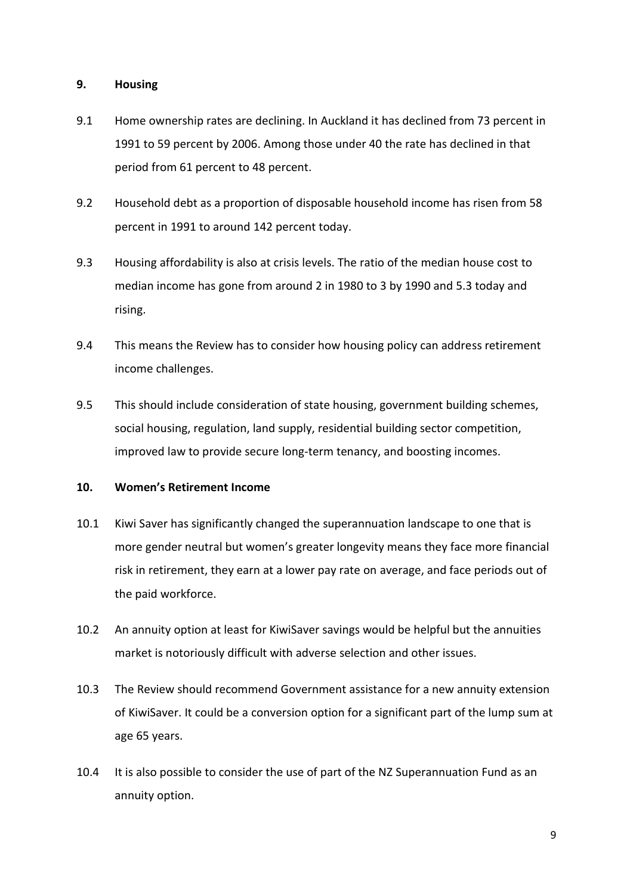## **9. Housing**

- 9.1 Home ownership rates are declining. In Auckland it has declined from 73 percent in 1991 to 59 percent by 2006. Among those under 40 the rate has declined in that period from 61 percent to 48 percent.
- 9.2 Household debt as a proportion of disposable household income has risen from 58 percent in 1991 to around 142 percent today.
- 9.3 Housing affordability is also at crisis levels. The ratio of the median house cost to median income has gone from around 2 in 1980 to 3 by 1990 and 5.3 today and rising.
- 9.4 This means the Review has to consider how housing policy can address retirement income challenges.
- 9.5 This should include consideration of state housing, government building schemes, social housing, regulation, land supply, residential building sector competition, improved law to provide secure long-term tenancy, and boosting incomes.

## **10. Women's Retirement Income**

- 10.1 Kiwi Saver has significantly changed the superannuation landscape to one that is more gender neutral but women's greater longevity means they face more financial risk in retirement, they earn at a lower pay rate on average, and face periods out of the paid workforce.
- 10.2 An annuity option at least for KiwiSaver savings would be helpful but the annuities market is notoriously difficult with adverse selection and other issues.
- 10.3 The Review should recommend Government assistance for a new annuity extension of KiwiSaver. It could be a conversion option for a significant part of the lump sum at age 65 years.
- 10.4 It is also possible to consider the use of part of the NZ Superannuation Fund as an annuity option.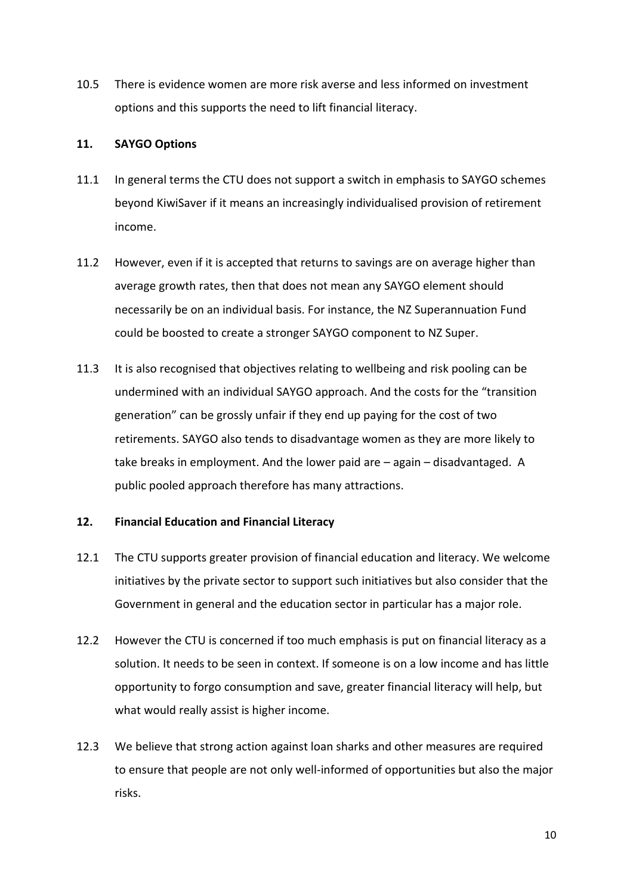10.5 There is evidence women are more risk averse and less informed on investment options and this supports the need to lift financial literacy.

## **11. SAYGO Options**

- 11.1 In general terms the CTU does not support a switch in emphasis to SAYGO schemes beyond KiwiSaver if it means an increasingly individualised provision of retirement income.
- 11.2 However, even if it is accepted that returns to savings are on average higher than average growth rates, then that does not mean any SAYGO element should necessarily be on an individual basis. For instance, the NZ Superannuation Fund could be boosted to create a stronger SAYGO component to NZ Super.
- 11.3 It is also recognised that objectives relating to wellbeing and risk pooling can be undermined with an individual SAYGO approach. And the costs for the "transition generation" can be grossly unfair if they end up paying for the cost of two retirements. SAYGO also tends to disadvantage women as they are more likely to take breaks in employment. And the lower paid are – again – disadvantaged. A public pooled approach therefore has many attractions.

## **12. Financial Education and Financial Literacy**

- 12.1 The CTU supports greater provision of financial education and literacy. We welcome initiatives by the private sector to support such initiatives but also consider that the Government in general and the education sector in particular has a major role.
- 12.2 However the CTU is concerned if too much emphasis is put on financial literacy as a solution. It needs to be seen in context. If someone is on a low income and has little opportunity to forgo consumption and save, greater financial literacy will help, but what would really assist is higher income.
- 12.3 We believe that strong action against loan sharks and other measures are required to ensure that people are not only well-informed of opportunities but also the major risks.